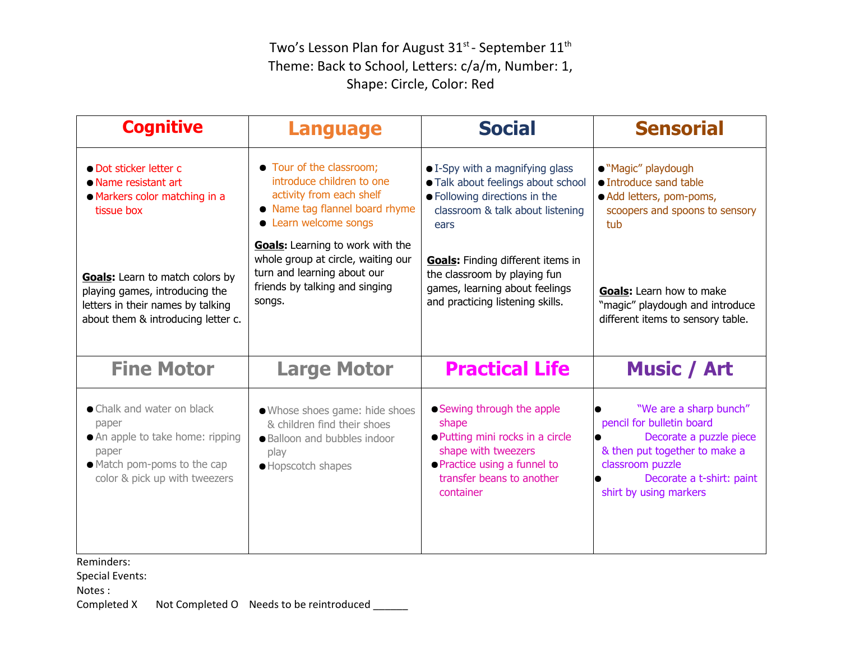Two's Lesson Plan for August  $31^{st}$ - September  $11^{th}$ Theme: Back to School, Letters: c/a/m, Number: 1, Shape: Circle, Color: Red

| <b>Cognitive</b>                                                                                                                                 | <b>Language</b>                                                                                                                                          | <b>Social</b>                                                                                                                                                            | <b>Sensorial</b>                                                                                                                                                                                        |
|--------------------------------------------------------------------------------------------------------------------------------------------------|----------------------------------------------------------------------------------------------------------------------------------------------------------|--------------------------------------------------------------------------------------------------------------------------------------------------------------------------|---------------------------------------------------------------------------------------------------------------------------------------------------------------------------------------------------------|
| • Dot sticker letter c<br>• Name resistant art<br>• Markers color matching in a<br>tissue box                                                    | • Tour of the classroom;<br>introduce children to one<br>activity from each shelf<br>• Name tag flannel board rhyme<br>• Learn welcome songs             | • I-Spy with a magnifying glass<br>· Talk about feelings about school<br>• Following directions in the<br>classroom & talk about listening<br>ears                       | . "Magic" playdough<br>• Introduce sand table<br>• Add letters, pom-poms,<br>scoopers and spoons to sensory<br>tub                                                                                      |
| Goals: Learn to match colors by<br>playing games, introducing the<br>letters in their names by talking<br>about them & introducing letter c.     | <b>Goals:</b> Learning to work with the<br>whole group at circle, waiting our<br>turn and learning about our<br>friends by talking and singing<br>songs. | <b>Goals:</b> Finding different items in<br>the classroom by playing fun<br>games, learning about feelings<br>and practicing listening skills.                           | <b>Goals:</b> Learn how to make<br>"magic" playdough and introduce<br>different items to sensory table.                                                                                                 |
| <b>Fine Motor</b>                                                                                                                                | <b>Large Motor</b>                                                                                                                                       | <b>Practical Life</b>                                                                                                                                                    | <b>Music / Art</b>                                                                                                                                                                                      |
| • Chalk and water on black<br>paper<br>• An apple to take home: ripping<br>paper<br>• Match pom-poms to the cap<br>color & pick up with tweezers | . Whose shoes game: hide shoes<br>& children find their shoes<br>· Balloon and bubbles indoor<br>play<br>· Hopscotch shapes                              | • Sewing through the apple<br>shape<br>• Putting mini rocks in a circle<br>shape with tweezers<br>• Practice using a funnel to<br>transfer beans to another<br>container | "We are a sharp bunch"<br>pencil for bulletin board<br>Decorate a puzzle piece<br>$\bullet$<br>& then put together to make a<br>classroom puzzle<br>Decorate a t-shirt: paint<br>shirt by using markers |

Reminders:

Special Events:

Notes :

Completed X Not Completed O Needs to be reintroduced \_\_\_\_\_\_